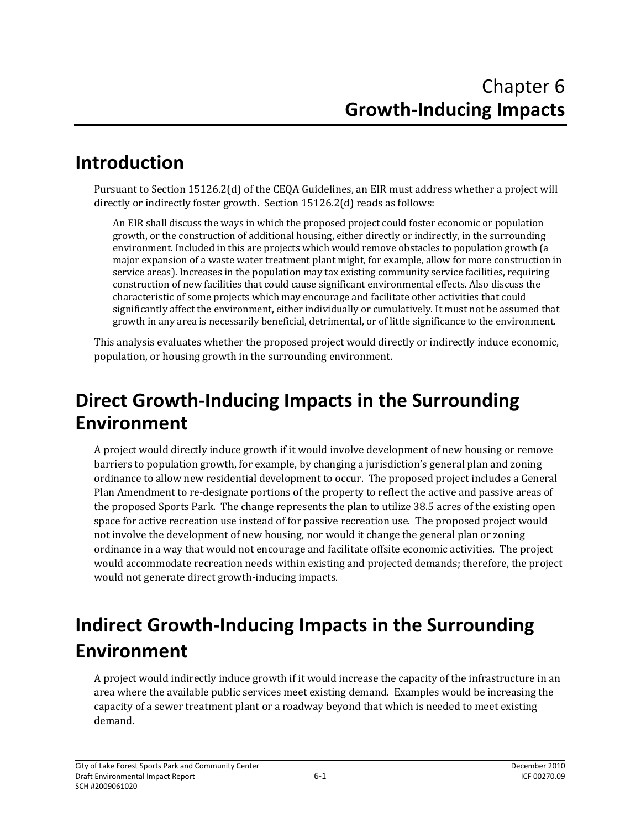## **Introduction**

Pursuant to Section 15126.2(d) of the CEQA Guidelines, an EIR must address whether a project will directly or indirectly foster growth. Section 15126.2(d) reads as follows:

An EIR shall discuss the ways in which the proposed project could foster economic or population growth, or the construction of additional housing, either directly or indirectly, in the surrounding environment. Included in this are projects which would remove obstacles to population growth (a major expansion of a waste water treatment plant might, for example, allow for more construction in service areas). Increases in the population may tax existing community service facilities, requiring construction of new facilities that could cause significant environmental effects. Also discuss the characteristic of some projects which may encourage and facilitate other activities that could significantly affect the environment, either individually or cumulatively. It must not be assumed that growth in any area is necessarily beneficial, detrimental, or of little significance to the environment.

This analysis evaluates whether the proposed project would directly or indirectly induce economic, population, or housing growth in the surrounding environment.

## **Direct Growth‐Inducing Impacts in the Surrounding Environment**

A project would directly induce growth if it would involve development of new housing or remove barriers to population growth, for example, by changing a jurisdiction's general plan and zoning ordinance to allow new residential development to occur. The proposed project includes a General Plan Amendment to re‐designate portions of the property to reflect the active and passive areas of the proposed Sports Park. The change represents the plan to utilize 38.5 acres of the existing open space for active recreation use instead of for passive recreation use. The proposed project would not involve the development of new housing, nor would it change the general plan or zoning ordinance in a way that would not encourage and facilitate offsite economic activities. The project would accommodate recreation needs within existing and projected demands; therefore, the project would not generate direct growth‐inducing impacts.

## **Indirect Growth‐Inducing Impacts in the Surrounding Environment**

A project would indirectly induce growth if it would increase the capacity of the infrastructure in an area where the available public services meet existing demand. Examples would be increasing the capacity of a sewer treatment plant or a roadway beyond that which is needed to meet existing demand.